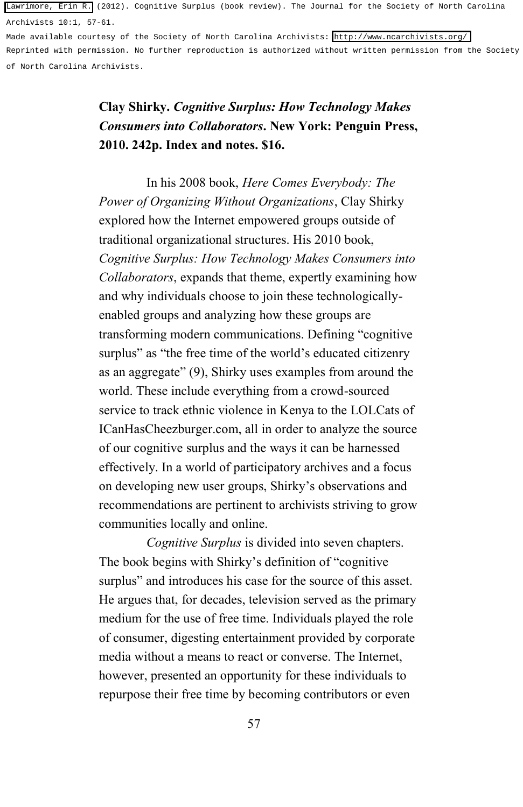[Lawrimore, Erin R.](http://libres.uncg.edu/ir/uncg/clist.aspx?id=7679) (2012). Cognitive Surplus (book review). The Journal for the Society of North Carolina Archivists 10:1, 57-61.

Made available courtesy of the Society of North Carolina Archivists:<http://www.ncarchivists.org/> Reprinted with permission. No further reproduction is authorized without written permission from the Society of North Carolina Archivists.

## **Clay Shirky.** *Cognitive Surplus: How Technology Makes Consumers into Collaborators***. New York: Penguin Press, 2010. 242p. Index and notes. \$16.**

In his 2008 book, *Here Comes Everybody: The Power of Organizing Without Organizations*, Clay Shirky explored how the Internet empowered groups outside of traditional organizational structures. His 2010 book, *Cognitive Surplus: How Technology Makes Consumers into Collaborators*, expands that theme, expertly examining how and why individuals choose to join these technologicallyenabled groups and analyzing how these groups are transforming modern communications. Defining "cognitive surplus" as "the free time of the world's educated citizenry as an aggregate" (9), Shirky uses examples from around the world. These include everything from a crowd-sourced service to track ethnic violence in Kenya to the LOLCats of ICanHasCheezburger.com, all in order to analyze the source of our cognitive surplus and the ways it can be harnessed effectively. In a world of participatory archives and a focus on developing new user groups, Shirky's observations and recommendations are pertinent to archivists striving to grow communities locally and online.

*Cognitive Surplus* is divided into seven chapters. The book begins with Shirky's definition of "cognitive surplus" and introduces his case for the source of this asset. He argues that, for decades, television served as the primary medium for the use of free time. Individuals played the role of consumer, digesting entertainment provided by corporate media without a means to react or converse. The Internet, however, presented an opportunity for these individuals to repurpose their free time by becoming contributors or even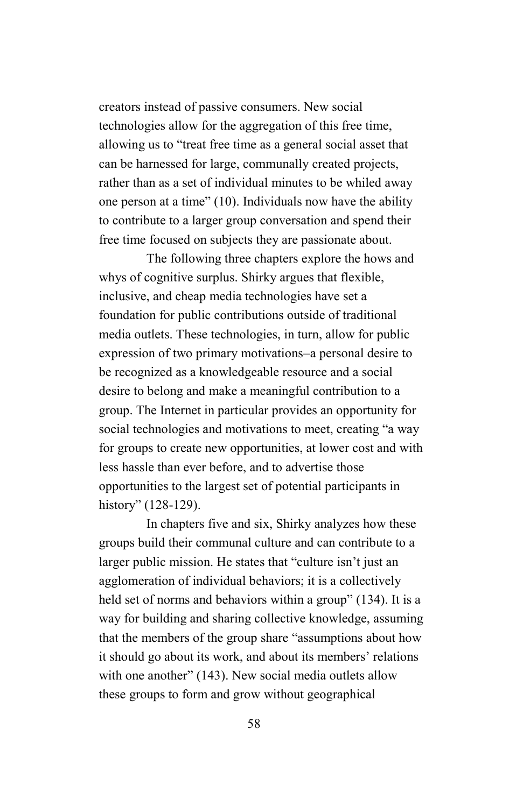creators instead of passive consumers. New social technologies allow for the aggregation of this free time, allowing us to "treat free time as a general social asset that can be harnessed for large, communally created projects, rather than as a set of individual minutes to be whiled away one person at a time" (10). Individuals now have the ability to contribute to a larger group conversation and spend their free time focused on subjects they are passionate about.

The following three chapters explore the hows and whys of cognitive surplus. Shirky argues that flexible, inclusive, and cheap media technologies have set a foundation for public contributions outside of traditional media outlets. These technologies, in turn, allow for public expression of two primary motivations–a personal desire to be recognized as a knowledgeable resource and a social desire to belong and make a meaningful contribution to a group. The Internet in particular provides an opportunity for social technologies and motivations to meet, creating "a way for groups to create new opportunities, at lower cost and with less hassle than ever before, and to advertise those opportunities to the largest set of potential participants in history" (128-129).

In chapters five and six, Shirky analyzes how these groups build their communal culture and can contribute to a larger public mission. He states that "culture isn't just an agglomeration of individual behaviors; it is a collectively held set of norms and behaviors within a group" (134). It is a way for building and sharing collective knowledge, assuming that the members of the group share "assumptions about how it should go about its work, and about its members' relations with one another" (143). New social media outlets allow these groups to form and grow without geographical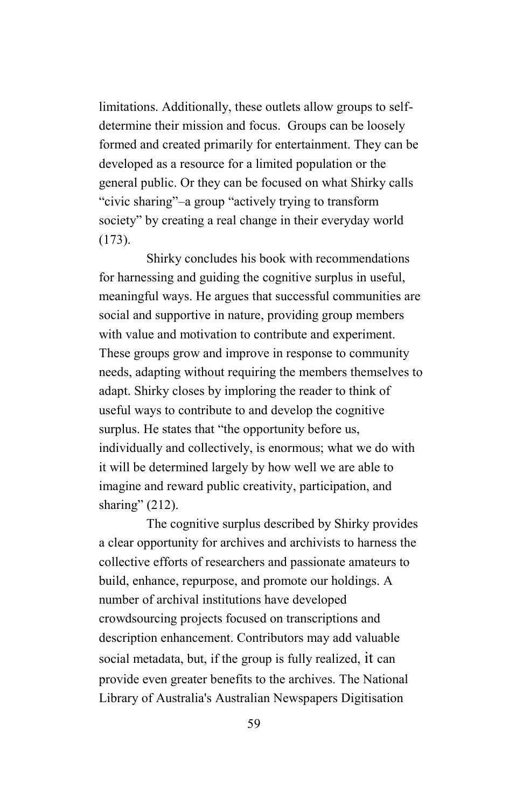limitations. Additionally, these outlets allow groups to selfdetermine their mission and focus. Groups can be loosely formed and created primarily for entertainment. They can be developed as a resource for a limited population or the general public. Or they can be focused on what Shirky calls "civic sharing"–a group "actively trying to transform society" by creating a real change in their everyday world (173).

Shirky concludes his book with recommendations for harnessing and guiding the cognitive surplus in useful, meaningful ways. He argues that successful communities are social and supportive in nature, providing group members with value and motivation to contribute and experiment. These groups grow and improve in response to community needs, adapting without requiring the members themselves to adapt. Shirky closes by imploring the reader to think of useful ways to contribute to and develop the cognitive surplus. He states that "the opportunity before us, individually and collectively, is enormous; what we do with it will be determined largely by how well we are able to imagine and reward public creativity, participation, and sharing" (212).

The cognitive surplus described by Shirky provides a clear opportunity for archives and archivists to harness the collective efforts of researchers and passionate amateurs to build, enhance, repurpose, and promote our holdings. A number of archival institutions have developed crowdsourcing projects focused on transcriptions and description enhancement. Contributors may add valuable social metadata, but, if the group is fully realized, it can provide even greater benefits to the archives. The National Library of Australia's Australian Newspapers Digitisation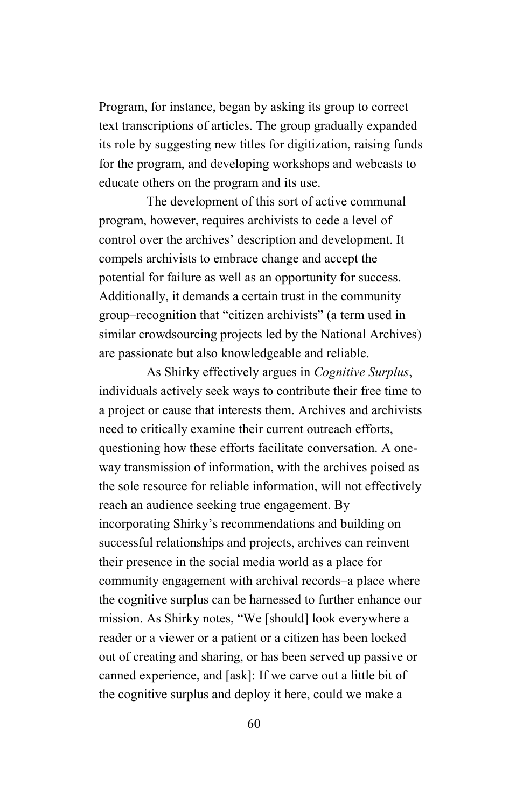Program, for instance, began by asking its group to correct text transcriptions of articles. The group gradually expanded its role by suggesting new titles for digitization, raising funds for the program, and developing workshops and webcasts to educate others on the program and its use.

The development of this sort of active communal program, however, requires archivists to cede a level of control over the archives' description and development. It compels archivists to embrace change and accept the potential for failure as well as an opportunity for success. Additionally, it demands a certain trust in the community group–recognition that "citizen archivists" (a term used in similar crowdsourcing projects led by the National Archives) are passionate but also knowledgeable and reliable.

As Shirky effectively argues in *Cognitive Surplus*, individuals actively seek ways to contribute their free time to a project or cause that interests them. Archives and archivists need to critically examine their current outreach efforts, questioning how these efforts facilitate conversation. A oneway transmission of information, with the archives poised as the sole resource for reliable information, will not effectively reach an audience seeking true engagement. By incorporating Shirky's recommendations and building on successful relationships and projects, archives can reinvent their presence in the social media world as a place for community engagement with archival records–a place where the cognitive surplus can be harnessed to further enhance our mission. As Shirky notes, "We [should] look everywhere a reader or a viewer or a patient or a citizen has been locked out of creating and sharing, or has been served up passive or canned experience, and [ask]: If we carve out a little bit of the cognitive surplus and deploy it here, could we make a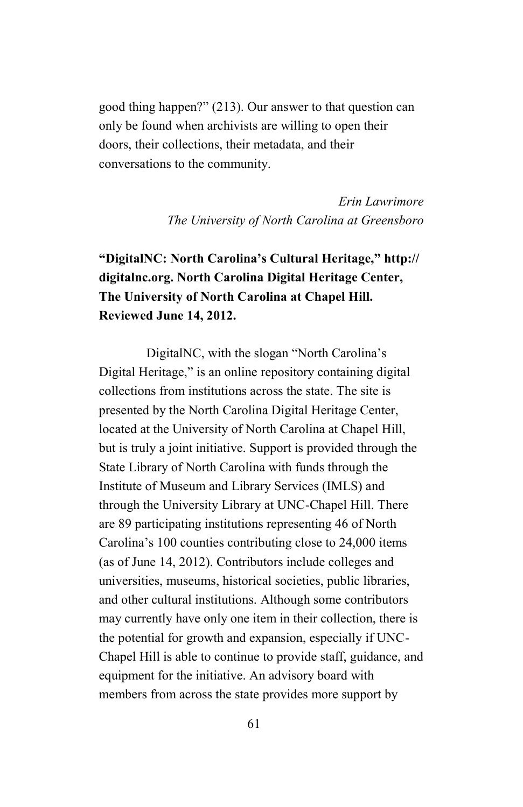good thing happen?" (213). Our answer to that question can only be found when archivists are willing to open their doors, their collections, their metadata, and their conversations to the community.

> *Erin Lawrimore The University of North Carolina at Greensboro*

## **"DigitalNC: North Carolina's Cultural Heritage," [http://](http://digitalnc.org) [digitalnc.org.](http://digitalnc.org) North Carolina Digital Heritage Center, The University of North Carolina at Chapel Hill. Reviewed June 14, 2012.**

DigitalNC, with the slogan "North Carolina's Digital Heritage," is an online repository containing digital collections from institutions across the state. The site is presented by the North Carolina Digital Heritage Center, located at the University of North Carolina at Chapel Hill, but is truly a joint initiative. Support is provided through the State Library of North Carolina with funds through the Institute of Museum and Library Services (IMLS) and through the University Library at UNC-Chapel Hill. There are 89 participating institutions representing 46 of North Carolina's 100 counties contributing close to 24,000 items (as of June 14, 2012). Contributors include colleges and universities, museums, historical societies, public libraries, and other cultural institutions. Although some contributors may currently have only one item in their collection, there is the potential for growth and expansion, especially if UNC-Chapel Hill is able to continue to provide staff, guidance, and equipment for the initiative. An advisory board with members from across the state provides more support by